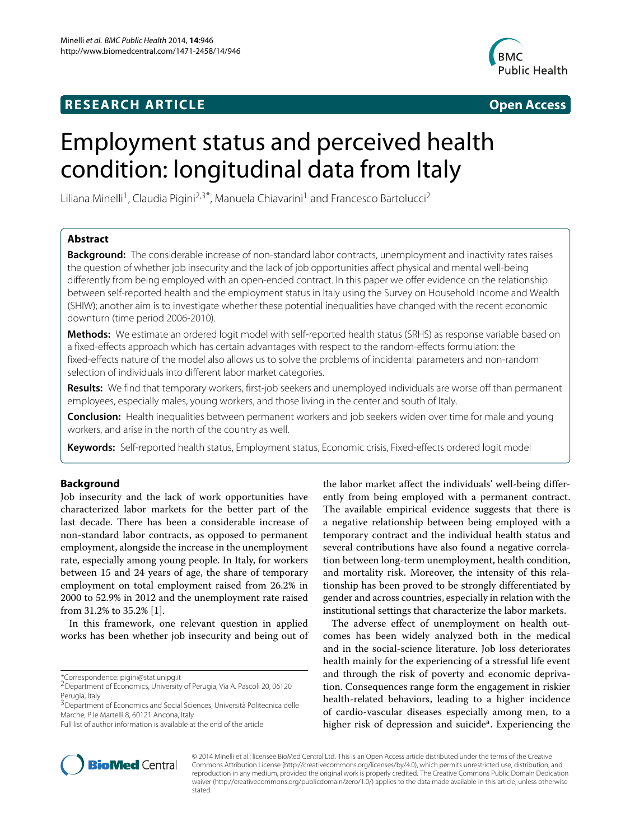# **RESEARCH ARTICLE Open Access**



# Employment status and perceived health condition: longitudinal data from Italy

Liliana Minelli<sup>1</sup>, Claudia Pigini<sup>2,3\*</sup>, Manuela Chiavarini<sup>1</sup> and Francesco Bartolucci<sup>2</sup>

# **Abstract**

**Background:** The considerable increase of non-standard labor contracts, unemployment and inactivity rates raises the question of whether job insecurity and the lack of job opportunities affect physical and mental well-being differently from being employed with an open-ended contract. In this paper we offer evidence on the relationship between self-reported health and the employment status in Italy using the Survey on Household Income and Wealth (SHIW); another aim is to investigate whether these potential inequalities have changed with the recent economic downturn (time period 2006-2010).

**Methods:** We estimate an ordered logit model with self-reported health status (SRHS) as response variable based on a fixed-effects approach which has certain advantages with respect to the random-effects formulation: the fixed-effects nature of the model also allows us to solve the problems of incidental parameters and non-random selection of individuals into different labor market categories.

**Results:** We find that temporary workers, first-job seekers and unemployed individuals are worse off than permanent employees, especially males, young workers, and those living in the center and south of Italy.

**Conclusion:** Health inequalities between permanent workers and job seekers widen over time for male and young workers, and arise in the north of the country as well.

**Keywords:** Self-reported health status, Employment status, Economic crisis, Fixed-effects ordered logit model

# **Background**

Job insecurity and the lack of work opportunities have characterized labor markets for the better part of the last decade. There has been a considerable increase of non-standard labor contracts, as opposed to permanent employment, alongside the increase in the unemployment rate, especially among young people. In Italy, for workers between 15 and 24 years of age, the share of temporary employment on total employment raised from 26.2% in 2000 to 52.9% in 2012 and the unemployment rate raised from 31.2% to 35.2% [\[1\]](#page-10-0).

In this framework, one relevant question in applied works has been whether job insecurity and being out of

\*Correspondence: [pigini@stat.unipg.it](mailto: pigini@stat.unipg.it)

the labor market affect the individuals' well-being differently from being employed with a permanent contract. The available empirical evidence suggests that there is a negative relationship between being employed with a temporary contract and the individual health status and several contributions have also found a negative correlation between long-term unemployment, health condition, and mortality risk. Moreover, the intensity of this relationship has been proved to be strongly differentiated by gender and across countries, especially in relation with the institutional settings that characterize the labor markets.

The adverse effect of unemployment on health outcomes has been widely analyzed both in the medical and in the social-science literature. Job loss deteriorates health mainly for the experiencing of a stressful life event and through the risk of poverty and economic deprivation. Consequences range form the engagement in riskier health-related behaviors, leading to a higher incidence of cardio-vascular diseases especially among men, to a higher risk of depression and suicide<sup>a</sup>. Experiencing the



© 2014 Minelli et al.; licensee BioMed Central Ltd. This is an Open Access article distributed under the terms of the Creative Commons Attribution License [\(http://creativecommons.org/licenses/by/4.0\)](http://creativecommons.org/licenses/by/4.0), which permits unrestricted use, distribution, and reproduction in any medium, provided the original work is properly credited. The Creative Commons Public Domain Dedication waiver [\(http://creativecommons.org/publicdomain/zero/1.0/\)](http://creativecommons.org/publicdomain/zero/1.0/) applies to the data made available in this article, unless otherwise stated.

<sup>2</sup>Department of Economics, University of Perugia, Via A. Pascoli 20, 06120 Perugia, Italy

<sup>3</sup>Department of Economics and Social Sciences, Università Politecnica delle Marche, P.le Martelli 8, 60121 Ancona, Italy

Full list of author information is available at the end of the article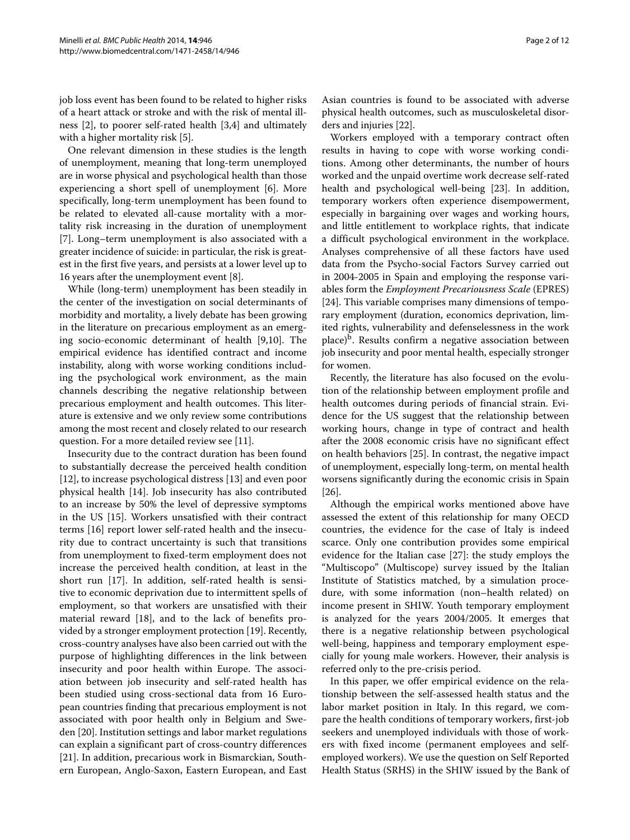job loss event has been found to be related to higher risks of a heart attack or stroke and with the risk of mental illness [\[2\]](#page-10-1), to poorer self-rated health [\[3,](#page-10-2)[4\]](#page-10-3) and ultimately with a higher mortality risk [\[5\]](#page-10-4).

One relevant dimension in these studies is the length of unemployment, meaning that long-term unemployed are in worse physical and psychological health than those experiencing a short spell of unemployment [\[6\]](#page-10-5). More specifically, long-term unemployment has been found to be related to elevated all-cause mortality with a mortality risk increasing in the duration of unemployment [\[7\]](#page-10-6). Long–term unemployment is also associated with a greater incidence of suicide: in particular, the risk is greatest in the first five years, and persists at a lower level up to 16 years after the unemployment event [\[8\]](#page-10-7).

While (long-term) unemployment has been steadily in the center of the investigation on social determinants of morbidity and mortality, a lively debate has been growing in the literature on precarious employment as an emerging socio-economic determinant of health [\[9](#page-10-8)[,10\]](#page-10-9). The empirical evidence has identified contract and income instability, along with worse working conditions including the psychological work environment, as the main channels describing the negative relationship between precarious employment and health outcomes. This literature is extensive and we only review some contributions among the most recent and closely related to our research question. For a more detailed review see [\[11\]](#page-10-10).

Insecurity due to the contract duration has been found to substantially decrease the perceived health condition [\[12\]](#page-10-11), to increase psychological distress [\[13\]](#page-11-0) and even poor physical health [\[14\]](#page-11-1). Job insecurity has also contributed to an increase by 50% the level of depressive symptoms in the US [\[15\]](#page-11-2). Workers unsatisfied with their contract terms [\[16\]](#page-11-3) report lower self-rated health and the insecurity due to contract uncertainty is such that transitions from unemployment to fixed-term employment does not increase the perceived health condition, at least in the short run [\[17\]](#page-11-4). In addition, self-rated health is sensitive to economic deprivation due to intermittent spells of employment, so that workers are unsatisfied with their material reward [\[18\]](#page-11-5), and to the lack of benefits provided by a stronger employment protection [\[19\]](#page-11-6). Recently, cross-country analyses have also been carried out with the purpose of highlighting differences in the link between insecurity and poor health within Europe. The association between job insecurity and self-rated health has been studied using cross-sectional data from 16 European countries finding that precarious employment is not associated with poor health only in Belgium and Sweden [\[20\]](#page-11-7). Institution settings and labor market regulations can explain a significant part of cross-country differences [\[21\]](#page-11-8). In addition, precarious work in Bismarckian, Southern European, Anglo-Saxon, Eastern European, and East

Asian countries is found to be associated with adverse physical health outcomes, such as musculoskeletal disorders and injuries [\[22\]](#page-11-9).

Workers employed with a temporary contract often results in having to cope with worse working conditions. Among other determinants, the number of hours worked and the unpaid overtime work decrease self-rated health and psychological well-being [\[23\]](#page-11-10). In addition, temporary workers often experience disempowerment, especially in bargaining over wages and working hours, and little entitlement to workplace rights, that indicate a difficult psychological environment in the workplace. Analyses comprehensive of all these factors have used data from the Psycho-social Factors Survey carried out in 2004-2005 in Spain and employing the response variables form the *Employment Precariousness Scale* (EPRES) [\[24\]](#page-11-11). This variable comprises many dimensions of temporary employment (duration, economics deprivation, limited rights, vulnerability and defenselessness in the work place)<sup>b</sup>. Results confirm a negative association between job insecurity and poor mental health, especially stronger for women.

Recently, the literature has also focused on the evolution of the relationship between employment profile and health outcomes during periods of financial strain. Evidence for the US suggest that the relationship between working hours, change in type of contract and health after the 2008 economic crisis have no significant effect on health behaviors [\[25\]](#page-11-12). In contrast, the negative impact of unemployment, especially long-term, on mental health worsens significantly during the economic crisis in Spain [\[26\]](#page-11-13).

Although the empirical works mentioned above have assessed the extent of this relationship for many OECD countries, the evidence for the case of Italy is indeed scarce. Only one contribution provides some empirical evidence for the Italian case [\[27\]](#page-11-14): the study employs the "Multiscopo" (Multiscope) survey issued by the Italian Institute of Statistics matched, by a simulation procedure, with some information (non–health related) on income present in SHIW. Youth temporary employment is analyzed for the years 2004/2005. It emerges that there is a negative relationship between psychological well-being, happiness and temporary employment especially for young male workers. However, their analysis is referred only to the pre-crisis period.

In this paper, we offer empirical evidence on the relationship between the self-assessed health status and the labor market position in Italy. In this regard, we compare the health conditions of temporary workers, first-job seekers and unemployed individuals with those of workers with fixed income (permanent employees and selfemployed workers). We use the question on Self Reported Health Status (SRHS) in the SHIW issued by the Bank of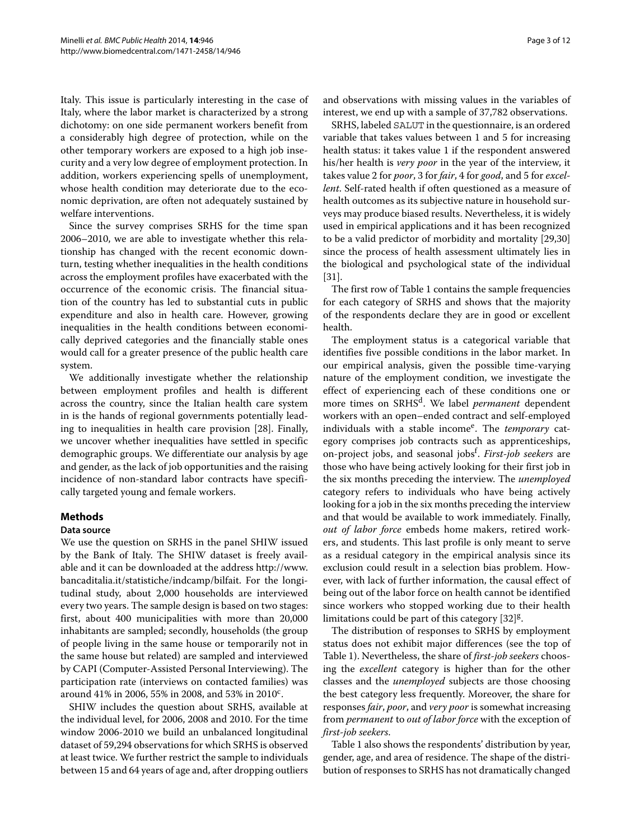Italy. This issue is particularly interesting in the case of Italy, where the labor market is characterized by a strong dichotomy: on one side permanent workers benefit from a considerably high degree of protection, while on the other temporary workers are exposed to a high job insecurity and a very low degree of employment protection. In addition, workers experiencing spells of unemployment, whose health condition may deteriorate due to the economic deprivation, are often not adequately sustained by welfare interventions.

Since the survey comprises SRHS for the time span 2006–2010, we are able to investigate whether this relationship has changed with the recent economic downturn, testing whether inequalities in the health conditions across the employment profiles have exacerbated with the occurrence of the economic crisis. The financial situation of the country has led to substantial cuts in public expenditure and also in health care. However, growing inequalities in the health conditions between economically deprived categories and the financially stable ones would call for a greater presence of the public health care system.

We additionally investigate whether the relationship between employment profiles and health is different across the country, since the Italian health care system in is the hands of regional governments potentially leading to inequalities in health care provision [\[28\]](#page-11-15). Finally, we uncover whether inequalities have settled in specific demographic groups. We differentiate our analysis by age and gender, as the lack of job opportunities and the raising incidence of non-standard labor contracts have specifically targeted young and female workers.

# **Methods**

#### **Data source**

We use the question on SRHS in the panel SHIW issued by the Bank of Italy. The SHIW dataset is freely available and it can be downloaded at the address [http://www.](http://www.bancaditalia.it/statistiche/indcamp/bilfait) [bancaditalia.it/statistiche/indcamp/bilfait.](http://www.bancaditalia.it/statistiche/indcamp/bilfait) For the longitudinal study, about 2,000 households are interviewed every two years. The sample design is based on two stages: first, about 400 municipalities with more than 20,000 inhabitants are sampled; secondly, households (the group of people living in the same house or temporarily not in the same house but related) are sampled and interviewed by CAPI (Computer-Assisted Personal Interviewing). The participation rate (interviews on contacted families) was around 41% in 2006, 55% in 2008, and 53% in 2010<sup>c</sup>.

SHIW includes the question about SRHS, available at the individual level, for 2006, 2008 and 2010. For the time window 2006-2010 we build an unbalanced longitudinal dataset of 59,294 observations for which SRHS is observed at least twice. We further restrict the sample to individuals between 15 and 64 years of age and, after dropping outliers

and observations with missing values in the variables of interest, we end up with a sample of 37,782 observations.

SRHS, labeled SALUT in the questionnaire, is an ordered variable that takes values between 1 and 5 for increasing health status: it takes value 1 if the respondent answered his/her health is *very poor* in the year of the interview, it takes value 2 for *poor*, 3 for *fair*, 4 for *good*, and 5 for *excellent*. Self-rated health if often questioned as a measure of health outcomes as its subjective nature in household surveys may produce biased results. Nevertheless, it is widely used in empirical applications and it has been recognized to be a valid predictor of morbidity and mortality [\[29](#page-11-16)[,30\]](#page-11-17) since the process of health assessment ultimately lies in the biological and psychological state of the individual [\[31\]](#page-11-18).

The first row of Table [1](#page-3-0) contains the sample frequencies for each category of SRHS and shows that the majority of the respondents declare they are in good or excellent health.

The employment status is a categorical variable that identifies five possible conditions in the labor market. In our empirical analysis, given the possible time-varying nature of the employment condition, we investigate the effect of experiencing each of these conditions one or more times on SRHSd. We label *permanent* dependent workers with an open–ended contract and self-employed individuals with a stable income<sup>e</sup>. The *temporary* category comprises job contracts such as apprenticeships, on-project jobs, and seasonal jobs<sup>f</sup> . *First-job seekers* are those who have being actively looking for their first job in the six months preceding the interview. The *unemployed* category refers to individuals who have being actively looking for a job in the six months preceding the interview and that would be available to work immediately. Finally, *out of labor force* embeds home makers, retired workers, and students. This last profile is only meant to serve as a residual category in the empirical analysis since its exclusion could result in a selection bias problem. However, with lack of further information, the causal effect of being out of the labor force on health cannot be identified since workers who stopped working due to their health limitations could be part of this category  $[32]$ <sup>g</sup>.

The distribution of responses to SRHS by employment status does not exhibit major differences (see the top of Table [1\)](#page-3-0). Nevertheless, the share of *first-job seekers* choosing the *excellent* category is higher than for the other classes and the *unemployed* subjects are those choosing the best category less frequently. Moreover, the share for responses *fair*, *poor*, and *very poor* is somewhat increasing from *permanent* to *out of labor force* with the exception of *first-job seekers*.

Table [1](#page-3-0) also shows the respondents' distribution by year, gender, age, and area of residence. The shape of the distribution of responses to SRHS has not dramatically changed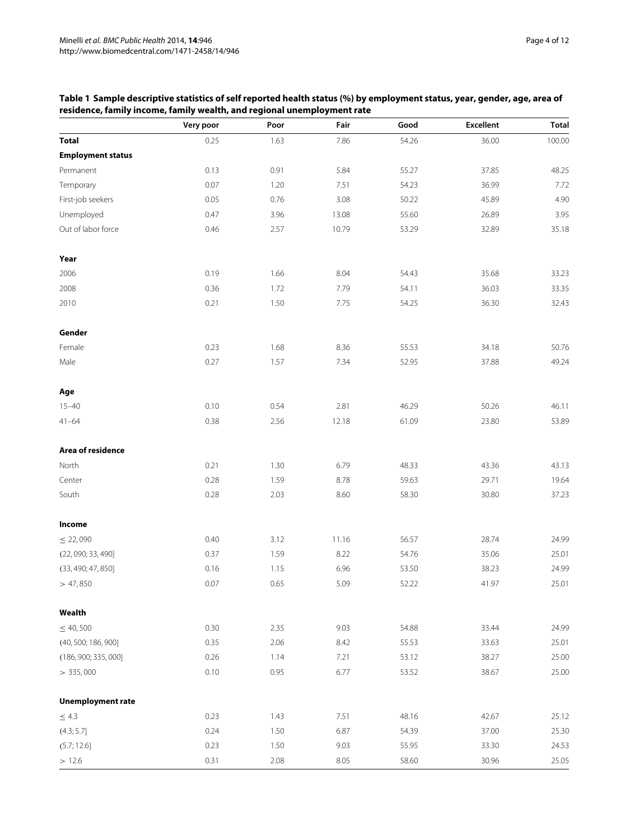# <span id="page-3-0"></span>**Table 1 Sample descriptive statistics of self reported health status (%) by employment status, year, gender, age, area of residence, family income, family wealth, and regional unemployment rate**

|                          | Very poor | Poor | Fair  | Good  | <b>Excellent</b> | <b>Total</b> |
|--------------------------|-----------|------|-------|-------|------------------|--------------|
| <b>Total</b>             | 0.25      | 1.63 | 7.86  | 54.26 | 36.00            | 100.00       |
| <b>Employment status</b> |           |      |       |       |                  |              |
| Permanent                | 0.13      | 0.91 | 5.84  | 55.27 | 37.85            | 48.25        |
| Temporary                | 0.07      | 1.20 | 7.51  | 54.23 | 36.99            | 7.72         |
| First-job seekers        | 0.05      | 0.76 | 3.08  | 50.22 | 45.89            | 4.90         |
| Unemployed               | 0.47      | 3.96 | 13.08 | 55.60 | 26.89            | 3.95         |
| Out of labor force       | 0.46      | 2.57 | 10.79 | 53.29 | 32.89            | 35.18        |
| Year                     |           |      |       |       |                  |              |
| 2006                     | 0.19      | 1.66 | 8.04  | 54.43 | 35.68            | 33.23        |
| 2008                     | 0.36      | 1.72 | 7.79  | 54.11 | 36.03            | 33.35        |
| 2010                     | 0.21      | 1.50 | 7.75  | 54.25 | 36.30            | 32.43        |
| Gender                   |           |      |       |       |                  |              |
| Female                   | 0.23      | 1.68 | 8.36  | 55.53 | 34.18            | 50.76        |
| Male                     | 0.27      | 1.57 | 7.34  | 52.95 | 37.88            | 49.24        |
| Age                      |           |      |       |       |                  |              |
| $15 - 40$                | 0.10      | 0.54 | 2.81  | 46.29 | 50.26            | 46.11        |
| $41 - 64$                | 0.38      | 2.56 | 12.18 | 61.09 | 23.80            | 53.89        |
| Area of residence        |           |      |       |       |                  |              |
| North                    | 0.21      | 1.30 | 6.79  | 48.33 | 43.36            | 43.13        |
| Center                   | 0.28      | 1.59 | 8.78  | 59.63 | 29.71            | 19.64        |
| South                    | 0.28      | 2.03 | 8.60  | 58.30 | 30.80            | 37.23        |
| Income                   |           |      |       |       |                  |              |
| $\leq 22,090$            | 0.40      | 3.12 | 11.16 | 56.57 | 28.74            | 24.99        |
| (22,090;33,490]          | 0.37      | 1.59 | 8.22  | 54.76 | 35.06            | 25.01        |
| (33, 490; 47, 850]       | 0.16      | 1.15 | 6.96  | 53.50 | 38.23            | 24.99        |
| > 47,850                 | 0.07      | 0.65 | 5.09  | 52.22 | 41.97            | 25.01        |
| Wealth                   |           |      |       |       |                  |              |
| $\leq 40,500$            | 0.30      | 2.35 | 9.03  | 54.88 | 33.44            | 24.99        |
| (40, 500; 186, 900]      | 0.35      | 2.06 | 8.42  | 55.53 | 33.63            | 25.01        |
| (186, 900; 335, 000]     | 0.26      | 1.14 | 7.21  | 53.12 | 38.27            | 25.00        |
| > 335,000                | 0.10      | 0.95 | 6.77  | 53.52 | 38.67            | 25.00        |
| <b>Unemployment rate</b> |           |      |       |       |                  |              |
| $\leq 4.3$               | 0.23      | 1.43 | 7.51  | 48.16 | 42.67            | 25.12        |
| (4.3; 5.7]               | 0.24      | 1.50 | 6.87  | 54.39 | 37.00            | 25.30        |
| (5.7; 12.6]              | 0.23      | 1.50 | 9.03  | 55.95 | 33.30            | 24.53        |
| > 12.6                   | 0.31      | 2.08 | 8.05  | 58.60 | 30.96            | 25.05        |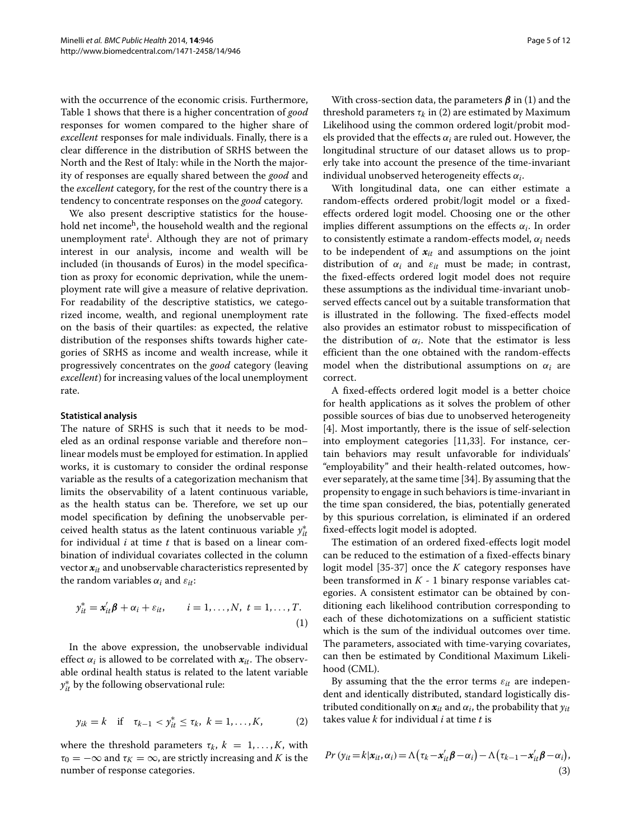with the occurrence of the economic crisis. Furthermore, Table [1](#page-3-0) shows that there is a higher concentration of *good* responses for women compared to the higher share of *excellent* responses for male individuals. Finally, there is a clear difference in the distribution of SRHS between the North and the Rest of Italy: while in the North the majority of responses are equally shared between the *good* and the *excellent* category, for the rest of the country there is a tendency to concentrate responses on the *good* category.

We also present descriptive statistics for the household net income<sup>h</sup>, the household wealth and the regional unemployment rate<sup>i</sup>. Although they are not of primary interest in our analysis, income and wealth will be included (in thousands of Euros) in the model specification as proxy for economic deprivation, while the unemployment rate will give a measure of relative deprivation. For readability of the descriptive statistics, we categorized income, wealth, and regional unemployment rate on the basis of their quartiles: as expected, the relative distribution of the responses shifts towards higher categories of SRHS as income and wealth increase, while it progressively concentrates on the *good* category (leaving *excellent*) for increasing values of the local unemployment rate.

#### **Statistical analysis**

The nature of SRHS is such that it needs to be modeled as an ordinal response variable and therefore non– linear models must be employed for estimation. In applied works, it is customary to consider the ordinal response variable as the results of a categorization mechanism that limits the observability of a latent continuous variable, as the health status can be. Therefore, we set up our model specification by defining the unobservable perceived health status as the latent continuous variable  $y_{it}^{*}$ for individual *i* at time *t* that is based on a linear combination of individual covariates collected in the column vector *xit* and unobservable characteristics represented by the random variables  $\alpha_i$  and  $\varepsilon_{it}$ :

<span id="page-4-0"></span>
$$
y_{it}^* = \mathbf{x}_{it}'\mathbf{\beta} + \alpha_i + \varepsilon_{it}, \qquad i = 1, ..., N, t = 1, ..., T.
$$
\n(1)

In the above expression, the unobservable individual effect  $\alpha_i$  is allowed to be correlated with  $x_{it}$ . The observable ordinal health status is related to the latent variable  $y_{it}^*$  by the following observational rule:

<span id="page-4-1"></span>
$$
y_{ik} = k
$$
 if  $\tau_{k-1} < y_{it}^* \le \tau_k$ ,  $k = 1, ..., K$ , (2)

where the threshold parameters  $\tau_k$ ,  $k = 1, \ldots, K$ , with  $\tau_0 = -\infty$  and  $\tau_K = \infty$ , are strictly increasing and *K* is the number of response categories.

With cross-section data, the parameters *β* in [\(1\)](#page-4-0) and the threshold parameters  $\tau_k$  in [\(2\)](#page-4-1) are estimated by Maximum Likelihood using the common ordered logit/probit models provided that the effects  $\alpha_i$  are ruled out. However, the longitudinal structure of our dataset allows us to properly take into account the presence of the time-invariant individual unobserved heterogeneity effects α*i*.

With longitudinal data, one can either estimate a random-effects ordered probit/logit model or a fixedeffects ordered logit model. Choosing one or the other implies different assumptions on the effects  $\alpha_i$ . In order to consistently estimate a random-effects model, α*<sup>i</sup>* needs to be independent of  $x_{it}$  and assumptions on the joint distribution of  $\alpha_i$  and  $\varepsilon_{it}$  must be made; in contrast, the fixed-effects ordered logit model does not require these assumptions as the individual time-invariant unobserved effects cancel out by a suitable transformation that is illustrated in the following. The fixed-effects model also provides an estimator robust to misspecification of the distribution of  $\alpha_i$ . Note that the estimator is less efficient than the one obtained with the random-effects model when the distributional assumptions on  $\alpha_i$  are correct.

A fixed-effects ordered logit model is a better choice for health applications as it solves the problem of other possible sources of bias due to unobserved heterogeneity [\[4\]](#page-10-3). Most importantly, there is the issue of self-selection into employment categories [\[11,](#page-10-10)[33\]](#page-11-20). For instance, certain behaviors may result unfavorable for individuals' "employability" and their health-related outcomes, however separately, at the same time [\[34\]](#page-11-21). By assuming that the propensity to engage in such behaviors is time-invariant in the time span considered, the bias, potentially generated by this spurious correlation, is eliminated if an ordered fixed-effects logit model is adopted.

The estimation of an ordered fixed-effects logit model can be reduced to the estimation of a fixed-effects binary logit model [\[35-](#page-11-22)[37\]](#page-11-23) once the *K* category responses have been transformed in *K* - 1 binary response variables categories. A consistent estimator can be obtained by conditioning each likelihood contribution corresponding to each of these dichotomizations on a sufficient statistic which is the sum of the individual outcomes over time. The parameters, associated with time-varying covariates, can then be estimated by Conditional Maximum Likelihood (CML).

By assuming that the the error terms  $\varepsilon_{it}$  are independent and identically distributed, standard logistically distributed conditionally on  $x_{it}$  and  $\alpha_i$ , the probability that  $y_{it}$ takes value *k* for individual *i* at time *t* is

$$
Pr(y_{it} = k | \mathbf{x}_{it}, \alpha_i) = \Lambda(\tau_k - \mathbf{x}_{it}'\mathbf{\beta} - \alpha_i) - \Lambda(\tau_{k-1} - \mathbf{x}_{it}'\mathbf{\beta} - \alpha_i),
$$
\n(3)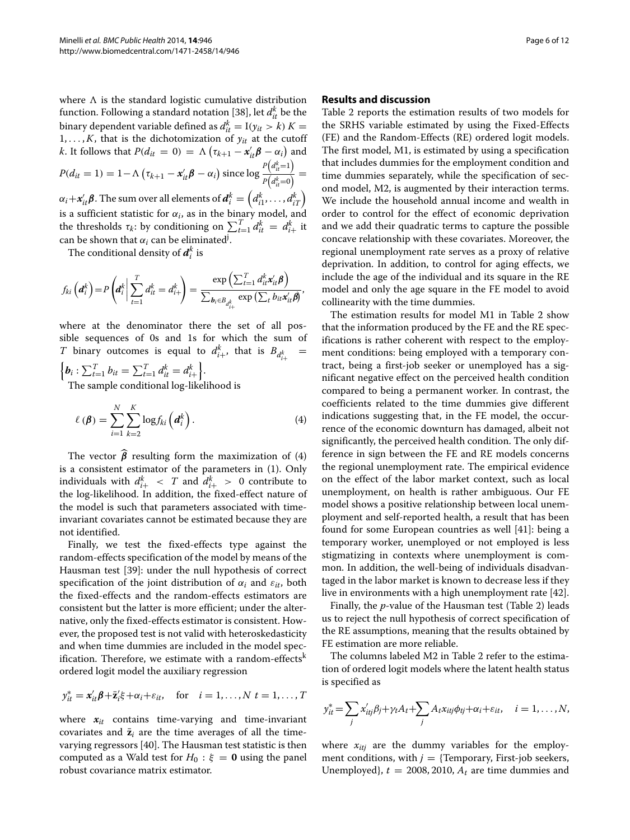where  $\Lambda$  is the standard logistic cumulative distribution function. Following a standard notation [\[38\]](#page-11-24), let  $d_{it}^k$  be the binary dependent variable defined as  $d_{it}^k = I(y_{it} > k) K =$ 1, ..., *K*, that is the dichotomization of  $y_{it}$  at the cutoff *k*. It follows that  $P(d_{it} = 0) = \Lambda \left( \tau_{k+1} - \mathbf{x}_{it}' \boldsymbol{\beta} - \alpha_i \right)$  and  $P(d_{it} = 1) = 1 - \Lambda \left( \tau_{k+1} - x_{it}' \beta - \alpha_i \right)$  since  $\log \frac{P\left(d_{it}^k = 1\right)}{P\left(d^k = 1\right)}$  $\frac{1}{P(d_{it}^k=0)}$  =  $\alpha_i + x'_{it} \boldsymbol{\beta}$ . The sum over all elements of  $\boldsymbol{d}_i^k = 0$  $\left(d_{i1}^k, \ldots, d_{iT}^k\right)$ is a sufficient statistic for  $\alpha_i$ , as in the binary model, and the thresholds  $\tau_k$ : by conditioning on  $\sum_{t=1}^T d_{it}^k = d_{i+1}^k$  it can be shown that  $\alpha_i$  can be eliminated<sup>j</sup>.

The conditional density of  $\boldsymbol{d}_i^k$  is

$$
f_{ki}\left(\boldsymbol{d}_{i}^{k}\right)=P\left(\boldsymbol{d}_{i}^{k}\middle|\sum_{t=1}^{T}d_{it}^{k}=d_{i+}^{k}\right)=\frac{\exp\left(\sum_{t=1}^{T}d_{it}^{k}\boldsymbol{x}_{it}^{k}\boldsymbol{\beta}\right)}{\sum_{\boldsymbol{b}_{i}\in B_{d_{i+}^{k}}}\exp\left(\sum_{t}b_{it}\boldsymbol{x}_{it}^{k}\boldsymbol{\beta}\right)},
$$

where at the denominator there the set of all possible sequences of 0s and 1s for which the sum of *T* binary outcomes is equal to  $d_{i+}^k$ , that is  $B_{d_{i+}^k} = \begin{bmatrix} 1 & \sqrt{k} & \sqrt{k} \\ 0 & 1 & \sqrt{k} \\ 0 & 0 & 1 \end{bmatrix}$  $\bm{b}_i$  :  $\sum_{t=1}^T b_{it} = \sum_{t=1}^T d_{it}^k = d_{i+1}^k$  .

The sample conditional log-likelihood is

$$
\ell(\boldsymbol{\beta}) = \sum_{i=1}^{N} \sum_{k=2}^{K} \log f_{ki} \left( \boldsymbol{d}_{i}^{k} \right). \tag{4}
$$

The vector  $\hat{\beta}$  resulting form the maximization of [\(4\)](#page-5-0) is a consistent estimator of the parameters in [\(1\)](#page-4-0). Only individuals with  $d_{i+}^k < T$  and  $d_{i+}^k > 0$  contribute to the log-likelihood. In addition, the fixed-effect nature of the model is such that parameters associated with timeinvariant covariates cannot be estimated because they are not identified.

Finally, we test the fixed-effects type against the random-effects specification of the model by means of the Hausman test [\[39\]](#page-11-25): under the null hypothesis of correct specification of the joint distribution of  $\alpha_i$  and  $\varepsilon_{it}$ , both the fixed-effects and the random-effects estimators are consistent but the latter is more efficient; under the alternative, only the fixed-effects estimator is consistent. However, the proposed test is not valid with heteroskedasticity and when time dummies are included in the model specification. Therefore, we estimate with a random-effects<sup>k</sup> ordered logit model the auxiliary regression

$$
y_{it}^* = \mathbf{x}_{it}' \mathbf{\beta} + \mathbf{\bar{z}}_i' \xi + \alpha_i + \varepsilon_{it}, \quad \text{for} \quad i = 1, \dots, N \ t = 1, \dots, T
$$

where *xit* contains time-varying and time-invariant covariates and  $\bar{z}_i$  are the time averages of all the timevarying regressors [\[40\]](#page-11-26). The Hausman test statistic is then computed as a Wald test for  $H_0$ :  $\xi = 0$  using the panel robust covariance matrix estimator.

#### **Results and discussion**

Table [2](#page-6-0) reports the estimation results of two models for the SRHS variable estimated by using the Fixed-Effects (FE) and the Random-Effects (RE) ordered logit models. The first model, M1, is estimated by using a specification that includes dummies for the employment condition and time dummies separately, while the specification of second model, M2, is augmented by their interaction terms. We include the household annual income and wealth in order to control for the effect of economic deprivation and we add their quadratic terms to capture the possible concave relationship with these covariates. Moreover, the regional unemployment rate serves as a proxy of relative deprivation. In addition, to control for aging effects, we include the age of the individual and its square in the RE model and only the age square in the FE model to avoid collinearity with the time dummies.

<span id="page-5-0"></span>The estimation results for model M1 in Table [2](#page-6-0) show that the information produced by the FE and the RE specifications is rather coherent with respect to the employment conditions: being employed with a temporary contract, being a first-job seeker or unemployed has a significant negative effect on the perceived health condition compared to being a permanent worker. In contrast, the coefficients related to the time dummies give different indications suggesting that, in the FE model, the occurrence of the economic downturn has damaged, albeit not significantly, the perceived health condition. The only difference in sign between the FE and RE models concerns the regional unemployment rate. The empirical evidence on the effect of the labor market context, such as local unemployment, on health is rather ambiguous. Our FE model shows a positive relationship between local unemployment and self-reported health, a result that has been found for some European countries as well [\[41\]](#page-11-27): being a temporary worker, unemployed or not employed is less stigmatizing in contexts where unemployment is common. In addition, the well-being of individuals disadvantaged in the labor market is known to decrease less if they live in environments with a high unemployment rate [\[42\]](#page-11-28).

Finally, the *p*-value of the Hausman test (Table [2\)](#page-6-0) leads us to reject the null hypothesis of correct specification of the RE assumptions, meaning that the results obtained by FE estimation are more reliable.

The columns labeled M2 in Table [2](#page-6-0) refer to the estimation of ordered logit models where the latent health status is specified as

$$
y_{it}^* = \sum_j x_{itj}' \beta_j + \gamma_t A_t + \sum_j A_t x_{itj} \phi_{tj} + \alpha_i + \varepsilon_{it}, \quad i = 1, \dots, N,
$$

where  $x_{itj}$  are the dummy variables for the employment conditions, with  $j =$  {Temporary, First-job seekers, Unemployed},  $t = 2008, 2010, A_t$  are time dummies and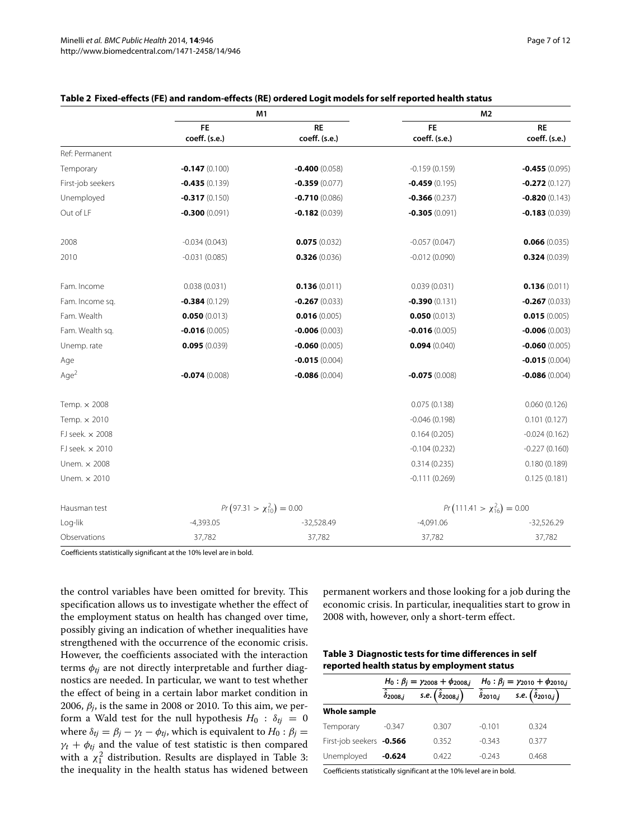<span id="page-6-0"></span>

|                   | M1                   |                                  | M <sub>2</sub>                     |                            |
|-------------------|----------------------|----------------------------------|------------------------------------|----------------------------|
|                   | FE.<br>coeff. (s.e.) | <b>RE</b><br>coeff. (s.e.)       | FE<br>coeff. (s.e.)                | <b>RE</b><br>coeff. (s.e.) |
| Ref: Permanent    |                      |                                  |                                    |                            |
| Temporary         | $-0.147(0.100)$      | $-0.400(0.058)$                  | $-0.159(0.159)$                    | $-0.455(0.095)$            |
| First-job seekers | $-0.435(0.139)$      | $-0.359(0.077)$                  | $-0.459(0.195)$                    | $-0.272(0.127)$            |
| Unemployed        | $-0.317(0.150)$      | $-0.710(0.086)$                  | $-0.366(0.237)$                    | $-0.820(0.143)$            |
| Out of LF         | $-0.300(0.091)$      | $-0.182(0.039)$                  | $-0.305(0.091)$                    | $-0.183(0.039)$            |
| 2008              | $-0.034(0.043)$      | 0.075(0.032)                     | $-0.057(0.047)$                    | 0.066(0.035)               |
| 2010              | $-0.031(0.085)$      | 0.326(0.036)                     | $-0.012(0.090)$                    | 0.324(0.039)               |
| Fam. Income       | 0.038(0.031)         | 0.136(0.011)                     | 0.039(0.031)                       | 0.136(0.011)               |
| Fam. Income sq.   | $-0.384(0.129)$      | $-0.267(0.033)$                  | $-0.390(0.131)$                    | $-0.267(0.033)$            |
| Fam. Wealth       | 0.050(0.013)         | 0.016(0.005)                     | 0.050(0.013)                       | 0.015(0.005)               |
| Fam. Wealth sq.   | $-0.016(0.005)$      | $-0.006(0.003)$                  | $-0.016(0.005)$                    | $-0.006(0.003)$            |
| Unemp. rate       | 0.095(0.039)         | $-0.060(0.005)$                  | 0.094(0.040)                       | $-0.060(0.005)$            |
| Age               |                      | $-0.015(0.004)$                  |                                    | $-0.015(0.004)$            |
| Age <sup>2</sup>  | $-0.074(0.008)$      | $-0.086(0.004)$                  | $-0.075(0.008)$                    | $-0.086(0.004)$            |
| Temp. × 2008      |                      |                                  | 0.075(0.138)                       | 0.060(0.126)               |
| Temp. × 2010      |                      |                                  | $-0.046(0.198)$                    | 0.101(0.127)               |
| FJ seek. × 2008   |                      |                                  | 0.164(0.205)                       | $-0.024(0.162)$            |
| FJ seek. × 2010   |                      |                                  | $-0.104(0.232)$                    | $-0.227(0.160)$            |
| Unem. x 2008      |                      |                                  | 0.314(0.235)                       | 0.180(0.189)               |
| Unem. x 2010      |                      |                                  | $-0.111(0.269)$                    | 0.125(0.181)               |
| Hausman test      |                      | $Pr(97.31 > \chi_{10}^2) = 0.00$ | Pr $(111.41 > \chi_{16}^2) = 0.00$ |                            |
| Log-lik           | $-4,393.05$          | $-32,528.49$                     | $-4,091.06$                        | $-32,526.29$               |
| Observations      | 37,782               | 37,782                           | 37,782                             | 37,782                     |

#### **Table 2 Fixed-effects (FE) and random-effects (RE) ordered Logit models for self reported health status**

Coefficients statistically significant at the 10% level are in bold.

the control variables have been omitted for brevity. This specification allows us to investigate whether the effect of the employment status on health has changed over time, possibly giving an indication of whether inequalities have strengthened with the occurrence of the economic crisis. However, the coefficients associated with the interaction terms  $\phi_{ti}$  are not directly interpretable and further diagnostics are needed. In particular, we want to test whether the effect of being in a certain labor market condition in 2006,  $\beta_i$ , is the same in 2008 or 2010. To this aim, we perform a Wald test for the null hypothesis  $H_0$  :  $\delta_{tj} = 0$ where  $\delta_{tj} = \beta_j - \gamma_t - \phi_{tj}$ , which is equivalent to  $H_0: \beta_j =$  $\gamma_t + \phi_{tj}$  and the value of test statistic is then compared with a  $\chi_1^2$  distribution. Results are displayed in Table [3:](#page-6-1) the inequality in the health status has widened between

permanent workers and those looking for a job during the economic crisis. In particular, inequalities start to grow in 2008 with, however, only a short-term effect.

|                                             | Table 3 Diagnostic tests for time differences in self |
|---------------------------------------------|-------------------------------------------------------|
| reported health status by employment status |                                                       |

<span id="page-6-1"></span>

|                          | $H_0: \beta_i = \gamma_{2008} + \phi_{2008,i}$ |                                | $H_0: \beta_j = \gamma_{2010} + \phi_{2010,j}$ |                                |  |
|--------------------------|------------------------------------------------|--------------------------------|------------------------------------------------|--------------------------------|--|
|                          | $\hat{\delta}_{2008,j}$                        | s.e. $(\hat{\delta}_{2008,j})$ | $\hat{\delta}_{2010,j}$                        | s.e. $(\hat{\delta}_{2010,j})$ |  |
| Whole sample             |                                                |                                |                                                |                                |  |
| Temporary                | $-0.347$                                       | 0.307                          | $-0.101$                                       | 0.324                          |  |
| First-job seekers -0.566 |                                                | 0.352                          | $-0.343$                                       | 0.377                          |  |
| Unemployed               | $-0.624$                                       | 0.422                          | $-0.243$                                       | 0.468                          |  |

Coefficients statistically significant at the 10% level are in bold.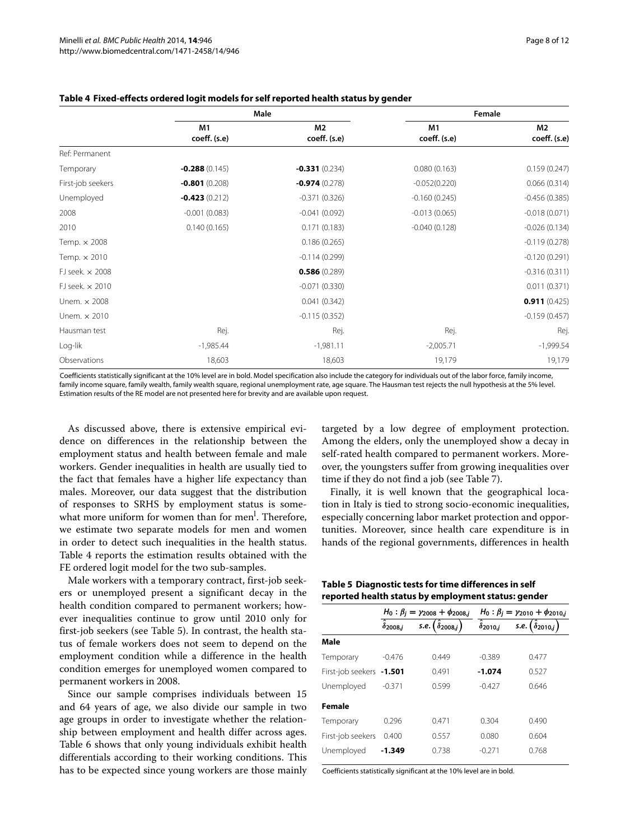<span id="page-7-0"></span>

|                        | Male               |                                | Female             |                    |
|------------------------|--------------------|--------------------------------|--------------------|--------------------|
|                        | M1<br>coeff. (s.e) | M <sub>2</sub><br>coeff. (s.e) | M1<br>coeff. (s.e) | M2<br>coeff. (s.e) |
| Ref: Permanent         |                    |                                |                    |                    |
| Temporary              | $-0.288(0.145)$    | $-0.331(0.234)$                | 0.080(0.163)       | 0.159(0.247)       |
| First-job seekers      | $-0.801(0.208)$    | $-0.974(0.278)$                | $-0.052(0.220)$    | 0.066(0.314)       |
| Unemployed             | $-0.423(0.212)$    | $-0.371(0.326)$                | $-0.160(0.245)$    | $-0.456(0.385)$    |
| 2008                   | $-0.001(0.083)$    | $-0.041(0.092)$                | $-0.013(0.065)$    | $-0.018(0.071)$    |
| 2010                   | 0.140(0.165)       | 0.171(0.183)                   | $-0.040(0.128)$    | $-0.026(0.134)$    |
| Temp. × 2008           |                    | 0.186(0.265)                   |                    | $-0.119(0.278)$    |
| Temp. $\times$ 2010    |                    | $-0.114(0.299)$                |                    | $-0.120(0.291)$    |
| FJ seek. $\times$ 2008 |                    | 0.586(0.289)                   |                    | $-0.316(0.311)$    |
| FJ seek. $\times$ 2010 |                    | $-0.071(0.330)$                |                    | 0.011(0.371)       |
| Unem. × 2008           |                    | 0.041(0.342)                   |                    | 0.911(0.425)       |
| Unem. $\times$ 2010    |                    | $-0.115(0.352)$                |                    | $-0.159(0.457)$    |
| Hausman test           | Rej.               | Rej.                           | Rej.               | Rej.               |
| Log-lik                | $-1,985.44$        | $-1,981.11$                    | $-2,005.71$        | $-1,999.54$        |
| Observations           | 18,603             | 18,603                         | 19,179             | 19,179             |

#### **Table 4 Fixed-effects ordered logit models for self reported health status by gender**

Coefficients statistically significant at the 10% level are in bold. Model specification also include the category for individuals out of the labor force, family income, family income square, family wealth, family wealth square, regional unemployment rate, age square. The Hausman test rejects the null hypothesis at the 5% level. Estimation results of the RE model are not presented here for brevity and are available upon request.

As discussed above, there is extensive empirical evidence on differences in the relationship between the employment status and health between female and male workers. Gender inequalities in health are usually tied to the fact that females have a higher life expectancy than males. Moreover, our data suggest that the distribution of responses to SRHS by employment status is somewhat more uniform for women than for men<sup>l</sup>. Therefore, we estimate two separate models for men and women in order to detect such inequalities in the health status. Table [4](#page-7-0) reports the estimation results obtained with the FE ordered logit model for the two sub-samples.

Male workers with a temporary contract, first-job seekers or unemployed present a significant decay in the health condition compared to permanent workers; however inequalities continue to grow until 2010 only for first-job seekers (see Table [5\)](#page-7-1). In contrast, the health status of female workers does not seem to depend on the employment condition while a difference in the health condition emerges for unemployed women compared to permanent workers in 2008.

Since our sample comprises individuals between 15 and 64 years of age, we also divide our sample in two age groups in order to investigate whether the relationship between employment and health differ across ages. Table [6](#page-8-0) shows that only young individuals exhibit health differentials according to their working conditions. This has to be expected since young workers are those mainly targeted by a low degree of employment protection. Among the elders, only the unemployed show a decay in self-rated health compared to permanent workers. Moreover, the youngsters suffer from growing inequalities over time if they do not find a job (see Table [7\)](#page-8-1).

Finally, it is well known that the geographical location in Italy is tied to strong socio-economic inequalities, especially concerning labor market protection and opportunities. Moreover, since health care expenditure is in hands of the regional governments, differences in health

#### **Table 5 Diagnostic tests for time differences in self reported health status by employment status: gender**

<span id="page-7-1"></span>

|                          | $H_0: \beta_i = \gamma_{2008} + \phi_{2008,i}$ |                                   | $H_0: \beta_j = \gamma_{2010} + \phi_{2010,j}$ |                                  |
|--------------------------|------------------------------------------------|-----------------------------------|------------------------------------------------|----------------------------------|
|                          | $\hat{\delta}_{2008,j}$                        | $\hat{\delta}_{2008,j}$ )<br>s.e. | $\hat{\delta}_{2010,j}$                        | $\hat{\delta}$ 2010. $j$<br>s.e. |
| Male                     |                                                |                                   |                                                |                                  |
| Temporary                | $-0.476$                                       | 0.449                             | $-0.389$                                       | 0.477                            |
| First-job seekers -1.501 |                                                | 0.491                             | $-1.074$                                       | 0.527                            |
| Unemployed               | $-0.371$                                       | 0.599                             | $-0.427$                                       | 0.646                            |
| Female                   |                                                |                                   |                                                |                                  |
| Temporary                | 0.296                                          | 0.471                             | 0.304                                          | 0.490                            |
| First-job seekers        | 0.400                                          | 0.557                             | 0.080                                          | 0.604                            |
| Unemployed               | $-1.349$                                       | 0.738                             | $-0.271$                                       | 0.768                            |

Coefficients statistically significant at the 10% level are in bold.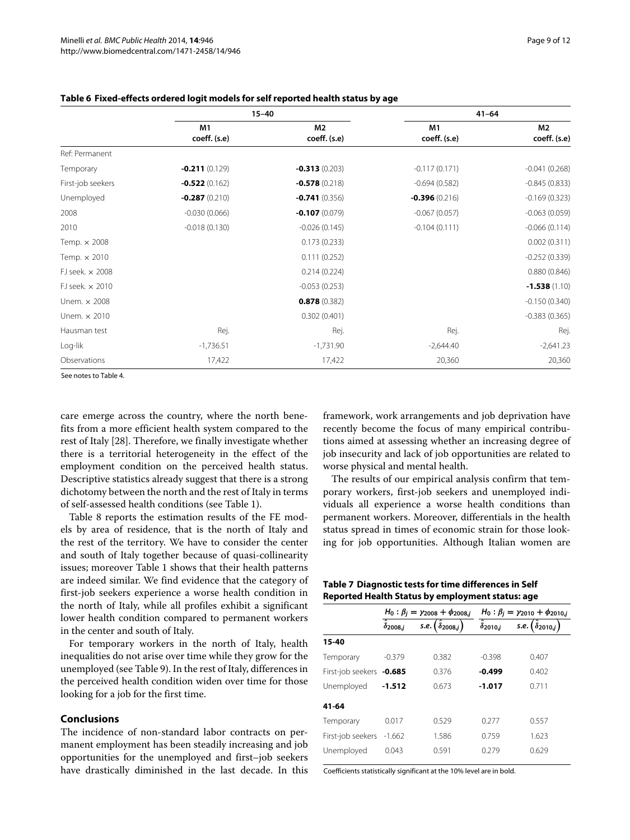<span id="page-8-0"></span>

|                        | $15 - 40$          |                                | $41 - 64$          |                                |
|------------------------|--------------------|--------------------------------|--------------------|--------------------------------|
|                        | M1<br>coeff. (s.e) | M <sub>2</sub><br>coeff. (s.e) | M1<br>coeff. (s.e) | M <sub>2</sub><br>coeff. (s.e) |
| Ref: Permanent         |                    |                                |                    |                                |
| Temporary              | $-0.211(0.129)$    | $-0.313(0.203)$                | $-0.117(0.171)$    | $-0.041(0.268)$                |
| First-job seekers      | $-0.522(0.162)$    | $-0.578(0.218)$                | $-0.694(0.582)$    | $-0.845(0.833)$                |
| Unemployed             | $-0.287(0.210)$    | $-0.741(0.356)$                | $-0.396(0.216)$    | $-0.169(0.323)$                |
| 2008                   | $-0.030(0.066)$    | $-0.107(0.079)$                | $-0.067(0.057)$    | $-0.063(0.059)$                |
| 2010                   | $-0.018(0.130)$    | $-0.026(0.145)$                | $-0.104(0.111)$    | $-0.066(0.114)$                |
| Temp. $\times$ 2008    |                    | 0.173(0.233)                   |                    | 0.002(0.311)                   |
| Temp. $\times$ 2010    |                    | 0.111(0.252)                   |                    | $-0.252(0.339)$                |
| FJ seek. $\times$ 2008 |                    | 0.214(0.224)                   |                    | 0.880(0.846)                   |
| FJ seek. $\times$ 2010 |                    | $-0.053(0.253)$                |                    | $-1.538(1.10)$                 |
| Unem. x 2008           |                    | 0.878(0.382)                   |                    | $-0.150(0.340)$                |
| Unem. x 2010           |                    | 0.302(0.401)                   |                    | $-0.383(0.365)$                |
| Hausman test           | Rej.               | Rej.                           | Rej.               | Rej.                           |
| Log-lik                | $-1,736.51$        | $-1,731.90$                    | $-2,644.40$        | $-2,641.23$                    |
| Observations           | 17,422             | 17,422                         | 20,360             | 20,360                         |

#### **Table 6 Fixed-effects ordered logit models for self reported health status by age**

See notes to Table [4.](#page-7-0)

care emerge across the country, where the north benefits from a more efficient health system compared to the rest of Italy [\[28\]](#page-11-15). Therefore, we finally investigate whether there is a territorial heterogeneity in the effect of the employment condition on the perceived health status. Descriptive statistics already suggest that there is a strong dichotomy between the north and the rest of Italy in terms of self-assessed health conditions (see Table [1\)](#page-3-0).

Table [8](#page-9-0) reports the estimation results of the FE models by area of residence, that is the north of Italy and the rest of the territory. We have to consider the center and south of Italy together because of quasi-collinearity issues; moreover Table [1](#page-3-0) shows that their health patterns are indeed similar. We find evidence that the category of first-job seekers experience a worse health condition in the north of Italy, while all profiles exhibit a significant lower health condition compared to permanent workers in the center and south of Italy.

For temporary workers in the north of Italy, health inequalities do not arise over time while they grow for the unemployed (see Table [9\)](#page-9-1). In the rest of Italy, differences in the perceived health condition widen over time for those looking for a job for the first time.

#### **Conclusions**

The incidence of non-standard labor contracts on permanent employment has been steadily increasing and job opportunities for the unemployed and first–job seekers have drastically diminished in the last decade. In this framework, work arrangements and job deprivation have recently become the focus of many empirical contributions aimed at assessing whether an increasing degree of job insecurity and lack of job opportunities are related to worse physical and mental health.

The results of our empirical analysis confirm that temporary workers, first-job seekers and unemployed individuals all experience a worse health conditions than permanent workers. Moreover, differentials in the health status spread in times of economic strain for those looking for job opportunities. Although Italian women are

<span id="page-8-1"></span>**Table 7 Diagnostic tests for time differences in Self Reported Health Status by employment status: age**

|                          | $H_0: \beta_j = \gamma_{2008} + \phi_{2008,j}$ |                                   |                         | $H_0: \beta_j = \gamma_{2010} + \phi_{2010,j}$ |  |  |
|--------------------------|------------------------------------------------|-----------------------------------|-------------------------|------------------------------------------------|--|--|
|                          | $\hat{\delta}_{2008,j}$                        | $\hat{\delta}_{2008,j}$ )<br>s.e. | $\hat{\delta}_{2010,j}$ | $\hat{\delta}_{2010,j}$ )<br>s.e.              |  |  |
| 15-40                    |                                                |                                   |                         |                                                |  |  |
| Temporary                | $-0.379$                                       | 0.382                             | $-0.398$                | 0.407                                          |  |  |
| First-job seekers -0.685 |                                                | 0.376                             | $-0.499$                | 0.402                                          |  |  |
| Unemployed               | $-1.512$                                       | 0.673                             | $-1.017$                | 0.711                                          |  |  |
| 41-64                    |                                                |                                   |                         |                                                |  |  |
| Temporary                | 0.017                                          | 0.529                             | 0.277                   | 0.557                                          |  |  |
| First-job seekers        | $-1.662$                                       | 1.586                             | 0.759                   | 1.623                                          |  |  |
| Unemployed               | 0.043                                          | 0.591                             | 0.279                   | 0.629                                          |  |  |

Coefficients statistically significant at the 10% level are in bold.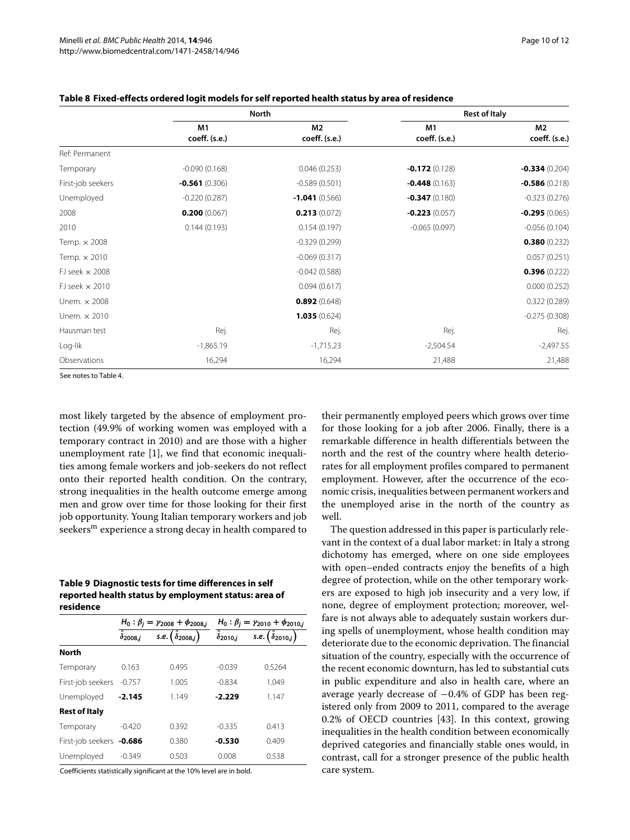<span id="page-9-0"></span>

|                       | <b>North</b>        |                                 | <b>Rest of Italy</b> |                                 |
|-----------------------|---------------------|---------------------------------|----------------------|---------------------------------|
|                       | M1<br>coeff. (s.e.) | M <sub>2</sub><br>coeff. (s.e.) | M1<br>coeff. (s.e.)  | M <sub>2</sub><br>coeff. (s.e.) |
| Ref: Permanent        |                     |                                 |                      |                                 |
| Temporary             | $-0.090(0.168)$     | 0.046(0.253)                    | $-0.172(0.128)$      | $-0.334(0.204)$                 |
| First-job seekers     | $-0.561(0.306)$     | $-0.589(0.501)$                 | $-0.448(0.163)$      | $-0.586(0.218)$                 |
| Unemployed            | $-0.220(0.287)$     | $-1.041(0.566)$                 | $-0.347(0.180)$      | $-0.323(0.276)$                 |
| 2008                  | 0.200(0.067)        | 0.213(0.072)                    | $-0.223(0.057)$      | $-0.295(0.065)$                 |
| 2010                  | 0.144(0.193)        | 0.154(0.197)                    | $-0.065(0.097)$      | $-0.056(0.104)$                 |
| Temp. × 2008          |                     | $-0.329(0.299)$                 |                      | 0.380(0.232)                    |
| Temp. $\times$ 2010   |                     | $-0.069(0.317)$                 |                      | 0.057(0.251)                    |
| FJ seek $\times$ 2008 |                     | $-0.042(0.588)$                 |                      | 0.396(0.222)                    |
| FJ seek $\times$ 2010 |                     | 0.094(0.617)                    |                      | 0.000(0.252)                    |
| Unem. x 2008          |                     | 0.892(0.648)                    |                      | 0.322(0.289)                    |
| Unem. x 2010          |                     | 1.035(0.624)                    |                      | $-0.275(0.308)$                 |
| Hausman test          | Rej.                | Rej.                            | Rej.                 | Rej.                            |
| Log-lik               | $-1,865.19$         | $-1,715.23$                     | $-2,504.54$          | $-2,497.55$                     |
| Observations          | 16,294              | 16,294                          | 21,488               | 21,488                          |

#### **Table 8 Fixed-effects ordered logit models for self reported health status by area of residence**

See notes to Table [4.](#page-7-0)

most likely targeted by the absence of employment protection (49.9% of working women was employed with a temporary contract in 2010) and are those with a higher unemployment rate [\[1\]](#page-10-0), we find that economic inequalities among female workers and job-seekers do not reflect onto their reported health condition. On the contrary, strong inequalities in the health outcome emerge among men and grow over time for those looking for their first job opportunity. Young Italian temporary workers and job seekers<sup>m</sup> experience a strong decay in health compared to

### <span id="page-9-1"></span>**Table 9 Diagnostic tests for time differences in self reported health status by employment status: area of residence**

|                          | $H_0: \beta_j = \gamma_{2008} + \phi_{2008,j}$ |                                 | $H_0: \beta_j = \gamma_{2010} + \phi_{2010,j}$ |                                 |
|--------------------------|------------------------------------------------|---------------------------------|------------------------------------------------|---------------------------------|
|                          | $\overline{\hat{\delta}_{2008,j}}$             | $\hat{\delta}_{2008,j}$<br>s.e. | $\overline{\hat{\delta}_{2010,j}}$             | $\hat{\delta}_{2010,j}$<br>s.e. |
| <b>North</b>             |                                                |                                 |                                                |                                 |
| Temporary                | 0.163                                          | 0.495                           | $-0.039$                                       | 0.5264                          |
| First-job seekers        | $-0.757$                                       | 1.005                           | $-0.834$                                       | 1.049                           |
| Unemployed               | $-2.145$                                       | 1.149                           | $-2.229$                                       | 1.147                           |
| <b>Rest of Italy</b>     |                                                |                                 |                                                |                                 |
| Temporary                | $-0.420$                                       | 0.392                           | $-0.335$                                       | 0.413                           |
| First-job seekers -0.686 |                                                | 0.380                           | $-0.530$                                       | 0.409                           |
| Unemployed               | $-0.349$                                       | 0.503                           | 0.008                                          | 0.538                           |

Coefficients statistically significant at the 10% level are in bold.

their permanently employed peers which grows over time for those looking for a job after 2006. Finally, there is a remarkable difference in health differentials between the north and the rest of the country where health deteriorates for all employment profiles compared to permanent employment. However, after the occurrence of the economic crisis, inequalities between permanent workers and the unemployed arise in the north of the country as well.

The question addressed in this paper is particularly relevant in the context of a dual labor market: in Italy a strong dichotomy has emerged, where on one side employees with open–ended contracts enjoy the benefits of a high degree of protection, while on the other temporary workers are exposed to high job insecurity and a very low, if none, degree of employment protection; moreover, welfare is not always able to adequately sustain workers during spells of unemployment, whose health condition may deteriorate due to the economic deprivation. The financial situation of the country, especially with the occurrence of the recent economic downturn, has led to substantial cuts in public expenditure and also in health care, where an average yearly decrease of −0.4% of GDP has been registered only from 2009 to 2011, compared to the average 0.2% of OECD countries [\[43\]](#page-11-29). In this context, growing inequalities in the health condition between economically deprived categories and financially stable ones would, in contrast, call for a stronger presence of the public health care system.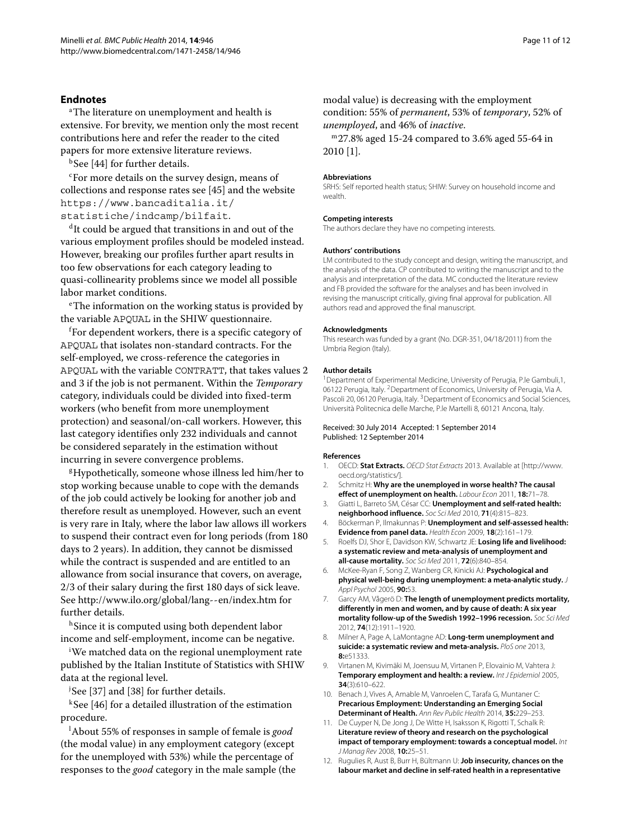# **Endnotes**

<sup>a</sup>The literature on unemployment and health is extensive. For brevity, we mention only the most recent contributions here and refer the reader to the cited papers for more extensive literature reviews.

**b**See [\[44\]](#page-11-30) for further details.

<sup>c</sup>For more details on the survey design, means of collections and response rates see [\[45\]](#page-11-31) and the website [https://www.bancaditalia.it/](https://www.bancaditalia.it/statistiche/indcamp/bilfait) [statistiche/indcamp/bilfait](https://www.bancaditalia.it/statistiche/indcamp/bilfait).

 $\rm{d}$ It could be argued that transitions in and out of the various employment profiles should be modeled instead. However, breaking our profiles further apart results in too few observations for each category leading to quasi-collinearity problems since we model all possible labor market conditions.

eThe information on the working status is provided by the variable APQUAL in the SHIW questionnaire.

 $^{\mathrm{f}}$ For dependent workers, there is a specific category of APQUAL that isolates non-standard contracts. For the self-employed, we cross-reference the categories in APQUAL with the variable CONTRATT, that takes values 2 and 3 if the job is not permanent. Within the *Temporary* category, individuals could be divided into fixed-term workers (who benefit from more unemployment protection) and seasonal/on-call workers. However, this last category identifies only 232 individuals and cannot be considered separately in the estimation without incurring in severe convergence problems.

<sup>g</sup>Hypothetically, someone whose illness led him/her to stop working because unable to cope with the demands of the job could actively be looking for another job and therefore result as unemployed. However, such an event is very rare in Italy, where the labor law allows ill workers to suspend their contract even for long periods (from 180 days to 2 years). In addition, they cannot be dismissed while the contract is suspended and are entitled to an allowance from social insurance that covers, on average, 2/3 of their salary during the first 180 days of sick leave. See<http://www.ilo.org/global/lang--en/index.htm> for further details.

h Since it is computed using both dependent labor income and self-employment, income can be negative.

i We matched data on the regional unemployment rate published by the Italian Institute of Statistics with SHIW data at the regional level.

j See [\[37\]](#page-11-23) and [\[38\]](#page-11-24) for further details.

<sup>k</sup>See [\[46\]](#page-11-32) for a detailed illustration of the estimation procedure.

l About 55% of responses in sample of female is *good* (the modal value) in any employment category (except for the unemployed with 53%) while the percentage of responses to the *good* category in the male sample (the modal value) is decreasing with the employment condition: 55% of *permanent*, 53% of *temporary*, 52% of *unemployed*, and 46% of *inactive*.

 $m_{27.8\%}$  aged 15-24 compared to 3.6% aged 55-64 in 2010 [\[1\]](#page-10-0).

#### **Abbreviations**

SRHS: Self reported health status; SHIW: Survey on household income and wealth.

#### **Competing interests**

The authors declare they have no competing interests.

#### **Authors' contributions**

LM contributed to the study concept and design, writing the manuscript, and the analysis of the data. CP contributed to writing the manuscript and to the analysis and interpretation of the data. MC conducted the literature review and FB provided the software for the analyses and has been involved in revising the manuscript critically, giving final approval for publication. All authors read and approved the final manuscript.

#### **Acknowledgments**

This research was funded by a grant (No. DGR-351, 04/18/2011) from the Umbria Region (Italy).

#### **Author details**

<sup>1</sup> Department of Experimental Medicine, University of Perugia, P.le Gambuli, 1, 06122 Perugia, Italy. 2Department of Economics, University of Perugia, Via A. Pascoli 20, 06120 Perugia, Italy. <sup>3</sup> Department of Economics and Social Sciences, Università Politecnica delle Marche, P.le Martelli 8, 60121 Ancona, Italy.

#### Received: 30 July 2014 Accepted: 1 September 2014 Published: 12 September 2014

#### **References**

- <span id="page-10-0"></span>1. OECD: **Stat Extracts.** OECD Stat Extracts 2013. Available at [\[http://www.](http://www.oecd.org/statistics/) [oecd.org/statistics/\]](http://www.oecd.org/statistics/).
- <span id="page-10-1"></span>2. Schmitz H: **Why are the unemployed in worse health? The causal effect of unemployment on health.** Labour Econ 2011, **18:**71–78.
- <span id="page-10-2"></span>3. Giatti L, Barreto SM, César CC: **Unemployment and self-rated health: neighborhood influence.** Soc Sci Med 2010, **71**(4):815–823.
- <span id="page-10-3"></span>4. Böckerman P, Ilmakunnas P: **Unemployment and self-assessed health: Evidence from panel data.** Health Econ 2009, **18**(2):161–179.
- <span id="page-10-4"></span>5. Roelfs DJ, Shor E, Davidson KW, Schwartz JE: **Losing life and livelihood: a systematic review and meta-analysis of unemployment and all-cause mortality.** Soc Sci Med 2011, **72**(6):840–854.
- <span id="page-10-5"></span>6. McKee-Ryan F, Song Z, Wanberg CR, Kinicki AJ: **Psychological and physical well-being during unemployment: a meta-analytic study.** J Appl Psychol 2005, **90:**53.
- <span id="page-10-6"></span>7. Garcy AM, Vågerö D: **The length of unemployment predicts mortality, differently in men and women, and by cause of death: A six year mortality follow-up of the Swedish 1992–1996 recession.** Soc Sci Med 2012, **74**(12):1911–1920.
- <span id="page-10-7"></span>8. Milner A, Page A, LaMontagne AD: **Long-term unemployment and suicide: a systematic review and meta-analysis.** PloS one 2013, **8:**e51333.
- <span id="page-10-8"></span>9. Virtanen M, Kivimäki M, Joensuu M, Virtanen P, Elovainio M, Vahtera J: **Temporary employment and health: a review.** Int J Epidemiol 2005, **34**(3):610–622.
- <span id="page-10-9"></span>10. Benach J, Vives A, Amable M, Vanroelen C, Tarafa G, Muntaner C: **Precarious Employment: Understanding an Emerging Social Determinant of Health.** Ann Rev Public Health 2014, **35:**229–253.
- <span id="page-10-10"></span>11. De Cuyper N, De Jong J, De Witte H, Isaksson K, Rigotti T, Schalk R; **Literature review of theory and research on the psychological impact of temporary employment: towards a conceptual model.** Int J Manag Rev 2008, **10:**25–51.
- <span id="page-10-11"></span>12. Rugulies R, Aust B, Burr H, Bültmann U: **Job insecurity, chances on the labour market and decline in self-rated health in a representative**